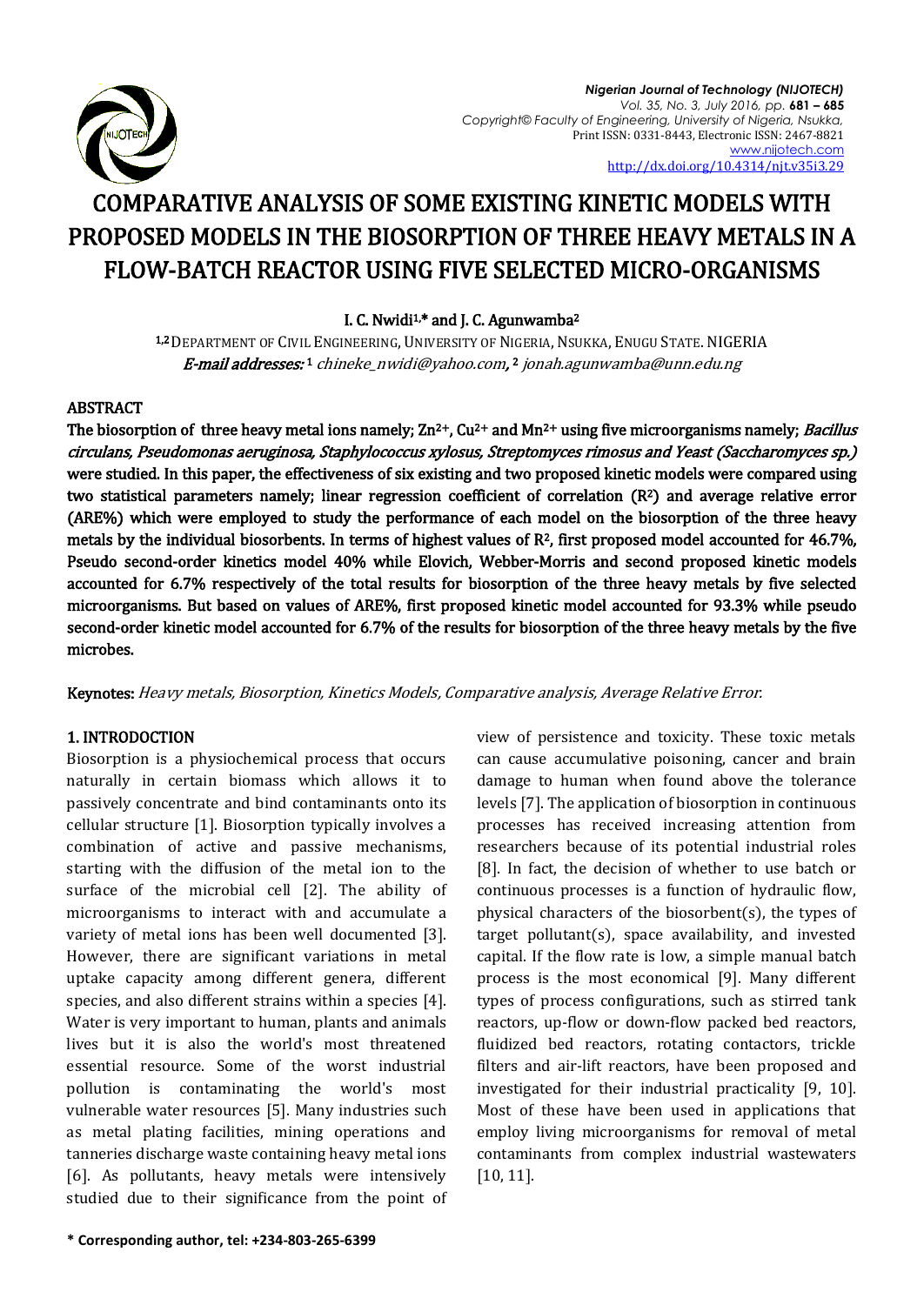

# COMPARATIVE ANALYSIS OF SOME EXISTING KINETIC MODELS WITH PROPOSED MODELS IN THE BIOSORPTION OF THREE HEAVY METALS IN A FLOW-BATCH REACTOR USING FIVE SELECTED MICRO-ORGANISMS

# I. C. Nwidi<sup>1,\*</sup> and J. C. Agunwamba<sup>2</sup>

1,2 DEPARTMENT OF CIVIL ENGINEERING, UNIVERSITY OF NIGERIA, NSUKKA, ENUGU STATE. NIGERIA **E-mail addresses:**1 [chineke\\_nwidi@yahoo.com,](mailto:chineke_nwidi@yahoo.com)2 jonah.agunwamba@unn.edu.ng

# ABSTRACT

The biosorption of three heavy metal ions namely;  $\text{Zn}^{2+}$ , Cu<sup>2+</sup> and Mn<sup>2+</sup> using five microorganisms namely; *Bacillus* circulans, Pseudomonas aeruginosa, Staphylococcus xylosus, Streptomyces rimosus and Yeast (Saccharomyces sp.) were studied. In this paper, the effectiveness of six existing and two proposed kinetic models were compared using two statistical parameters namely; linear regression coefficient of correlation (R2) and average relative error (ARE%) which were employed to study the performance of each model on the biosorption of the three heavy metals by the individual biosorbents. In terms of highest values of R2, first proposed model accounted for 46.7%, Pseudo second-order kinetics model 40% while Elovich, Webber-Morris and second proposed kinetic models accounted for 6.7% respectively of the total results for biosorption of the three heavy metals by five selected microorganisms. But based on values of ARE%, first proposed kinetic model accounted for 93.3% while pseudo second-order kinetic model accounted for 6.7% of the results for biosorption of the three heavy metals by the five microbes.

Keynotes: Heavy metals, Biosorption, Kinetics Models, Comparative analysis, Average Relative Error.

# 1. INTRODOCTION

Biosorption is a physiochemical process that occurs naturally in certain biomass which allows it to passively concentrate and bind contaminants onto its cellular structure [1]. Biosorption typically involves a combination of active and passive mechanisms, starting with the diffusion of the metal ion to the surface of the microbial cell [2]. The ability of microorganisms to interact with and accumulate a variety of metal ions has been well documented [3]. However, there are significant variations in metal uptake capacity among different genera, different species, and also different strains within a species [4]. Water is very important to human, plants and animals lives but it is also the world's most threatened essential resource. Some of the worst industrial pollution is contaminating the world's most vulnerable water resources [5]. Many industries such as metal plating facilities, mining operations and tanneries discharge waste containing heavy metal ions [6]. As pollutants, heavy metals were intensively studied due to their significance from the point of

continuous processes is a function of hydraulic flow, physical characters of the biosorbent(s), the types of target pollutant(s), space availability, and invested capital. If the flow rate is low, a simple manual batch process is the most economical [9]. Many different types of process configurations, such as stirred tank reactors, up-flow or down-flow packed bed reactors, fluidized bed reactors, rotating contactors, trickle filters and air-lift reactors, have been proposed and investigated for their industrial practicality [9, 10]. Most of these have been used in applications that employ living microorganisms for removal of metal contaminants from complex industrial wastewaters [10, 11].

view of persistence and toxicity. These toxic metals can cause accumulative poisoning, cancer and brain damage to human when found above the tolerance levels [7]. The application of biosorption in continuous processes has received increasing attention from researchers because of its potential industrial roles [8]. In fact, the decision of whether to use batch or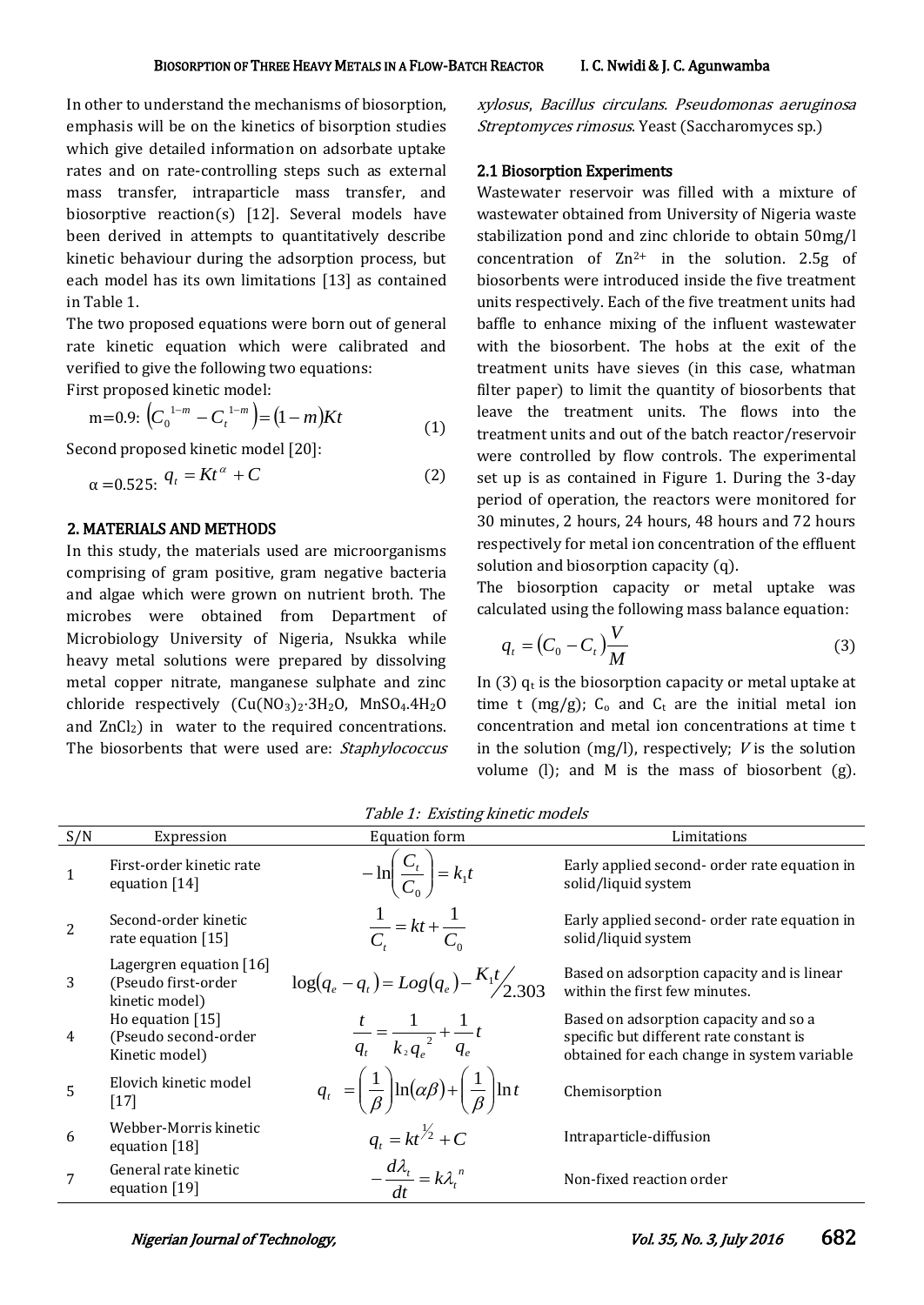In other to understand the mechanisms of biosorption, emphasis will be on the kinetics of bisorption studies which give detailed information on adsorbate uptake rates and on rate-controlling steps such as external mass transfer, intraparticle mass transfer, and biosorptive reaction(s) [12]. Several models have been derived in attempts to quantitatively describe kinetic behaviour during the adsorption process, but each model has its own limitations [13] as contained in Table 1.

The two proposed equations were born out of general rate kinetic equation which were calibrated and verified to give the following two equations:

First proposed kinetic model:

 $m=0.9:$   $\left(C_0^{-1-m} - C_t^{-1-m}\right) = (1-m)Kt$  $1^{-m} - C_t^{1-m}$  =  $(1 -$ 0 (1)

Second proposed kinetic model [20]:

$$
\alpha = 0.525; \; q_t = Kt^\alpha + C \tag{2}
$$

# 2. MATERIALS AND METHODS

In this study, the materials used are microorganisms comprising of gram positive, gram negative bacteria and algae which were grown on nutrient broth. The microbes were obtained from Department of Microbiology University of Nigeria, Nsukka while heavy metal solutions were prepared by dissolving metal copper nitrate, manganese sulphate and zinc chloride respectively  $(Cu(NO<sub>3</sub>)<sub>2</sub>·3H<sub>2</sub>O, MnSO<sub>4</sub>.4H<sub>2</sub>O)$ and  $ZnCl<sub>2</sub>$ ) in water to the required concentrations. The biosorbents that were used are: Staphylococcus xylosus, Bacillus circulans. Pseudomonas aeruginosa Streptomyces rimosus. Yeast (Saccharomyces sp.)

### 2.1 Biosorption Experiments

Wastewater reservoir was filled with a mixture of wastewater obtained from University of Nigeria waste stabilization pond and zinc chloride to obtain 50mg/l concentration of  $Zn^{2+}$  in the solution. 2.5g of biosorbents were introduced inside the five treatment units respectively. Each of the five treatment units had baffle to enhance mixing of the influent wastewater with the biosorbent. The hobs at the exit of the treatment units have sieves (in this case, whatman filter paper) to limit the quantity of biosorbents that leave the treatment units. The flows into the treatment units and out of the batch reactor/reservoir were controlled by flow controls. The experimental set up is as contained in Figure 1. During the 3-day period of operation, the reactors were monitored for 30 minutes, 2 hours, 24 hours, 48 hours and 72 hours respectively for metal ion concentration of the effluent solution and biosorption capacity (q).

The biosorption capacity or metal uptake was calculated using the following mass balance equation:

$$
q_t = \left(C_0 - C_t\right)\frac{V}{M} \tag{3}
$$

In (3)  $q_t$  is the biosorption capacity or metal uptake at time t (mg/g);  $C_0$  and  $C_t$  are the initial metal ion concentration and metal ion concentrations at time t in the solution (mg/l), respectively;  $V$  is the solution volume (l); and M is the mass of biosorbent (g).

| S/N            | Expression                                                         | <b>Equation form</b>                                                                       | Limitations                                                                                                                     |
|----------------|--------------------------------------------------------------------|--------------------------------------------------------------------------------------------|---------------------------------------------------------------------------------------------------------------------------------|
| $\mathbf{1}$   | First-order kinetic rate<br>equation $[14]$                        | $-\ln\left(\frac{C_t}{C_0}\right) = k_1 t$                                                 | Early applied second- order rate equation in<br>solid/liquid system                                                             |
|                | Second-order kinetic<br>rate equation [15]                         | $\frac{1}{C} = kt + \frac{1}{C_0}$                                                         | Early applied second-order rate equation in<br>solid/liquid system                                                              |
| 3              | Lagergren equation $[16]$<br>(Pseudo first-order<br>kinetic model) | $\log(q_e-q_t) = Log(q_e) - \frac{K_1 t}{2.303}$                                           | Based on adsorption capacity and is linear<br>within the first few minutes.                                                     |
| $\overline{4}$ | Ho equation $[15]$<br>(Pseudo second-order<br>Kinetic model)       | $\frac{t}{q_t} = \frac{1}{k_2 q_e^2} + \frac{1}{q_e}t$                                     | Based on adsorption capacity and so a<br>specific but different rate constant is<br>obtained for each change in system variable |
| 5              | Elovich kinetic model<br>$[17]$                                    | $q_t = \left(\frac{1}{\beta}\right) \ln(\alpha\beta) + \left(\frac{1}{\beta}\right) \ln t$ | Chemisorption                                                                                                                   |
| 6              | Webber-Morris kinetic<br>equation $[18]$                           | $q_t = kt^{\frac{1}{2}} + C$                                                               | Intraparticle-diffusion                                                                                                         |
|                | General rate kinetic<br>equation $[19]$                            | $-\frac{d\lambda_t}{dt} = k\lambda_t^{n}$                                                  | Non-fixed reaction order                                                                                                        |

Table 1: Existing kinetic models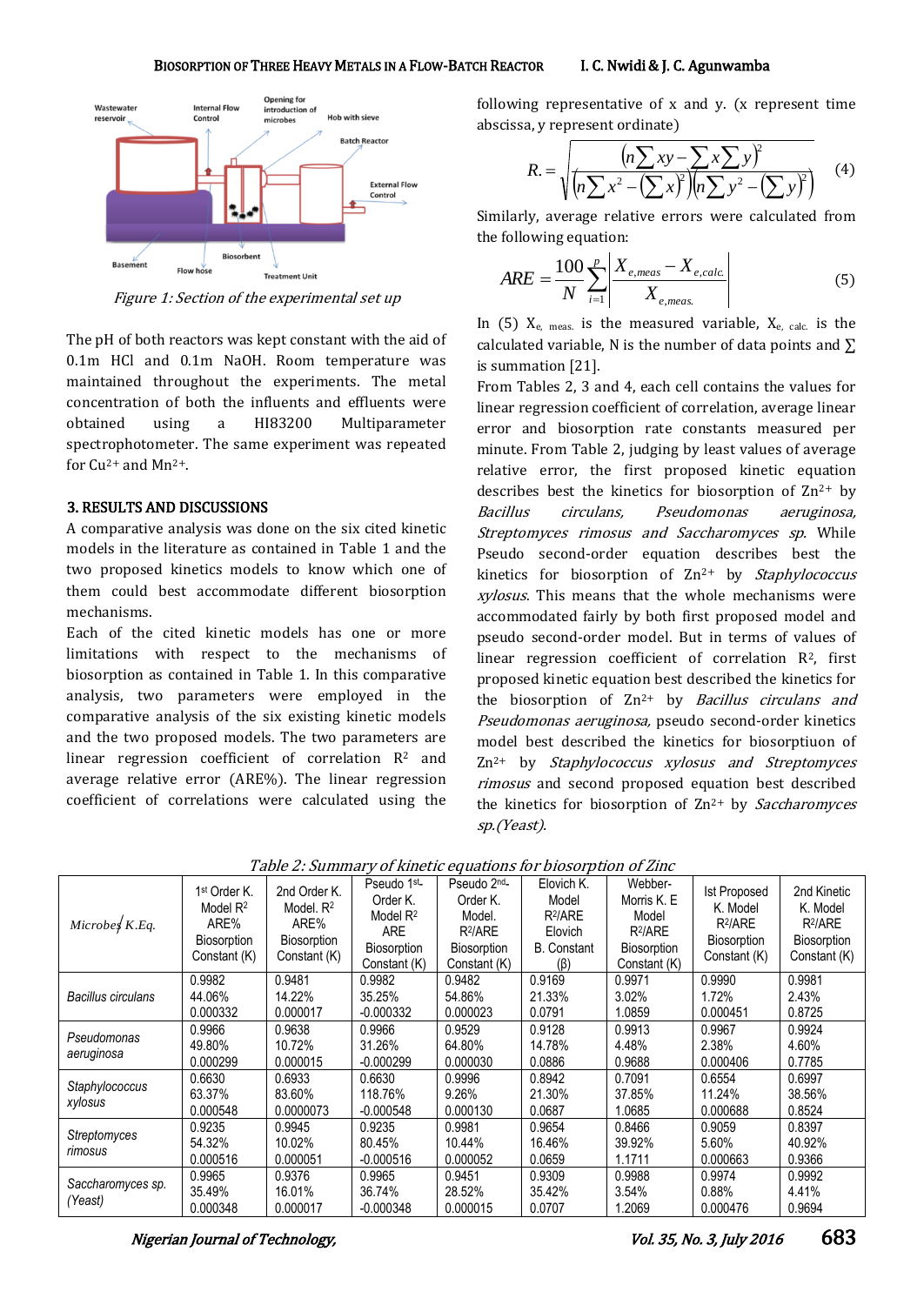

Figure 1: Section of the experimental set up

The pH of both reactors was kept constant with the aid of 0.1m HCl and 0.1m NaOH. Room temperature was maintained throughout the experiments. The metal concentration of both the influents and effluents were obtained using a HI83200 Multiparameter spectrophotometer. The same experiment was repeated for  $Cu^{2+}$  and  $Mn^{2+}$ .

# 3. RESULTS AND DISCUSSIONS

A comparative analysis was done on the six cited kinetic models in the literature as contained in Table 1 and the two proposed kinetics models to know which one of them could best accommodate different biosorption mechanisms.

Each of the cited kinetic models has one or more limitations with respect to the mechanisms of biosorption as contained in Table 1. In this comparative analysis, two parameters were employed in the comparative analysis of the six existing kinetic models and the two proposed models. The two parameters are linear regression coefficient of correlation  $R^2$  and average relative error (ARE%). The linear regression coefficient of correlations were calculated using the

following representative of x and y. (x represent time abscissa, y represent ordinate)

$$
R = \sqrt{\frac{(n\sum xy - \sum x\sum y)^2}{(n\sum x^2 - (\sum x)^2)(n\sum y^2 - (\sum y)^2)}} \tag{4}
$$

Similarly, average relative errors were calculated from the following equation:

$$
ARE = \frac{100}{N} \sum_{i=1}^{p} \left| \frac{X_{e,meas} - X_{e,calc.}}{X_{e,meas.}} \right|
$$
 (5)

In  $(5)$   $X_{e}$ , meas. is the measured variable,  $X_{e}$ , calc. is the calculated variable, N is the number of data points and  $\Sigma$ is summation [21].

From Tables 2, 3 and 4, each cell contains the values for linear regression coefficient of correlation, average linear error and biosorption rate constants measured per minute. From Table 2, judging by least values of average relative error, the first proposed kinetic equation describes best the kinetics for biosorption of  $\mathbb{Z}n^{2+}$  by Bacillus circulans, Pseudomonas aeruginosa, Streptomyces rimosus and Saccharomyces sp. While Pseudo second-order equation describes best the kinetics for biosorption of  $Zn^{2+}$  by *Staphylococcus* xylosus. This means that the whole mechanisms were accommodated fairly by both first proposed model and pseudo second-order model. But in terms of values of linear regression coefficient of correlation  $\mathbb{R}^2$ , first proposed kinetic equation best described the kinetics for the biosorption of  $Zn^{2+}$  by *Bacillus circulans and* Pseudomonas aeruginosa, pseudo second-order kinetics model best described the kinetics for biosorptiuon of Zn2+ by Staphylococcus xylosus and Streptomyces rimosus and second proposed equation best described the kinetics for biosorption of  $Zn^{2+}$  by *Saccharomyces* sp.(Yeast).

| Microbes $K.Eq$ .  | 1 <sup>st</sup> Order K.<br>Model $R^2$<br>ARE%<br><b>Biosorption</b><br>Constant (K) | 2nd Order K.<br>Model, $R^2$<br>ARE%<br>Biosorption<br>Constant (K) | Pseudo 1 <sup>st</sup> -<br>Order K.<br>Model $R^2$<br><b>ARE</b><br><b>Biosorption</b><br>Constant (K) | Pseudo 2 <sup>nd</sup> -<br>Order K.<br>Model.<br>$R^2/ARE$<br><b>Biosorption</b><br>Constant (K) | Elovich K.<br>Model<br>$R^2/ARE$<br>Elovich<br><b>B.</b> Constant<br>$(\beta)$ | Webber-<br>Morris K. E<br>Model<br>$R^2/ARE$<br>Biosorption<br>Constant (K) | <b>Ist Proposed</b><br>K. Model<br>$R^2/ARE$<br>Biosorption<br>Constant (K) | 2nd Kinetic<br>K. Model<br>$R^2/ARE$<br><b>Biosorption</b><br>Constant (K) |
|--------------------|---------------------------------------------------------------------------------------|---------------------------------------------------------------------|---------------------------------------------------------------------------------------------------------|---------------------------------------------------------------------------------------------------|--------------------------------------------------------------------------------|-----------------------------------------------------------------------------|-----------------------------------------------------------------------------|----------------------------------------------------------------------------|
|                    | 0.9982                                                                                | 0.9481                                                              | 0.9982                                                                                                  | 0.9482                                                                                            | 0.9169                                                                         | 0.9971                                                                      | 0.9990                                                                      | 0.9981                                                                     |
| Bacillus circulans | 44.06%                                                                                | 14.22%                                                              | 35.25%                                                                                                  | 54.86%                                                                                            | 21.33%                                                                         | 3.02%                                                                       | 1.72%                                                                       | 2.43%                                                                      |
|                    | 0.000332                                                                              | 0.000017                                                            | $-0.000332$                                                                                             | 0.000023                                                                                          | 0.0791                                                                         | 1.0859                                                                      | 0.000451                                                                    | 0.8725                                                                     |
| Pseudomonas        | 0.9966                                                                                | 0.9638                                                              | 0.9966                                                                                                  | 0.9529                                                                                            | 0.9128                                                                         | 0.9913                                                                      | 0.9967                                                                      | 0.9924                                                                     |
|                    | 49.80%                                                                                | 10.72%                                                              | 31.26%                                                                                                  | 64.80%                                                                                            | 14.78%                                                                         | 4.48%                                                                       | 2.38%                                                                       | 4.60%                                                                      |
| aeruginosa         | 0.000299                                                                              | 0.000015                                                            | $-0.000299$                                                                                             | 0.000030                                                                                          | 0.0886                                                                         | 0.9688                                                                      | 0.000406                                                                    | 0.7785                                                                     |
|                    | 0.6630                                                                                | 0.6933                                                              | 0.6630                                                                                                  | 0.9996                                                                                            | 0.8942                                                                         | 0.7091                                                                      | 0.6554                                                                      | 0.6997                                                                     |
| Staphylococcus     | 63.37%                                                                                | 83.60%                                                              | 118.76%                                                                                                 | 9.26%                                                                                             | 21.30%                                                                         | 37.85%                                                                      | 11.24%                                                                      | 38.56%                                                                     |
| xylosus            | 0.000548                                                                              | 0.0000073                                                           | $-0.000548$                                                                                             | 0.000130                                                                                          | 0.0687                                                                         | 1.0685                                                                      | 0.000688                                                                    | 0.8524                                                                     |
|                    | 0.9235                                                                                | 0.9945                                                              | 0.9235                                                                                                  | 0.9981                                                                                            | 0.9654                                                                         | 0.8466                                                                      | 0.9059                                                                      | 0.8397                                                                     |
| Streptomyces       | 54.32%                                                                                | 10.02%                                                              | 80.45%                                                                                                  | 10.44%                                                                                            | 16.46%                                                                         | 39.92%                                                                      | 5.60%                                                                       | 40.92%                                                                     |
| rimosus            | 0.000516                                                                              | 0.000051                                                            | $-0.000516$                                                                                             | 0.000052                                                                                          | 0.0659                                                                         | 1.1711                                                                      | 0.000663                                                                    | 0.9366                                                                     |
|                    | 0.9965                                                                                | 0.9376                                                              | 0.9965                                                                                                  | 0.9451                                                                                            | 0.9309                                                                         | 0.9988                                                                      | 0.9974                                                                      | 0.9992                                                                     |
| Saccharomyces sp.  | 35.49%                                                                                | 16.01%                                                              | 36.74%                                                                                                  | 28.52%                                                                                            | 35.42%                                                                         | 3.54%                                                                       | 0.88%                                                                       | 4.41%                                                                      |
| (Yeast)            | 0.000348                                                                              | 0.000017                                                            | $-0.000348$                                                                                             | 0.000015                                                                                          | 0.0707                                                                         | 1.2069                                                                      | 0.000476                                                                    | 0.9694                                                                     |

Table 2: Summary of kinetic equations for biosorption of Zinc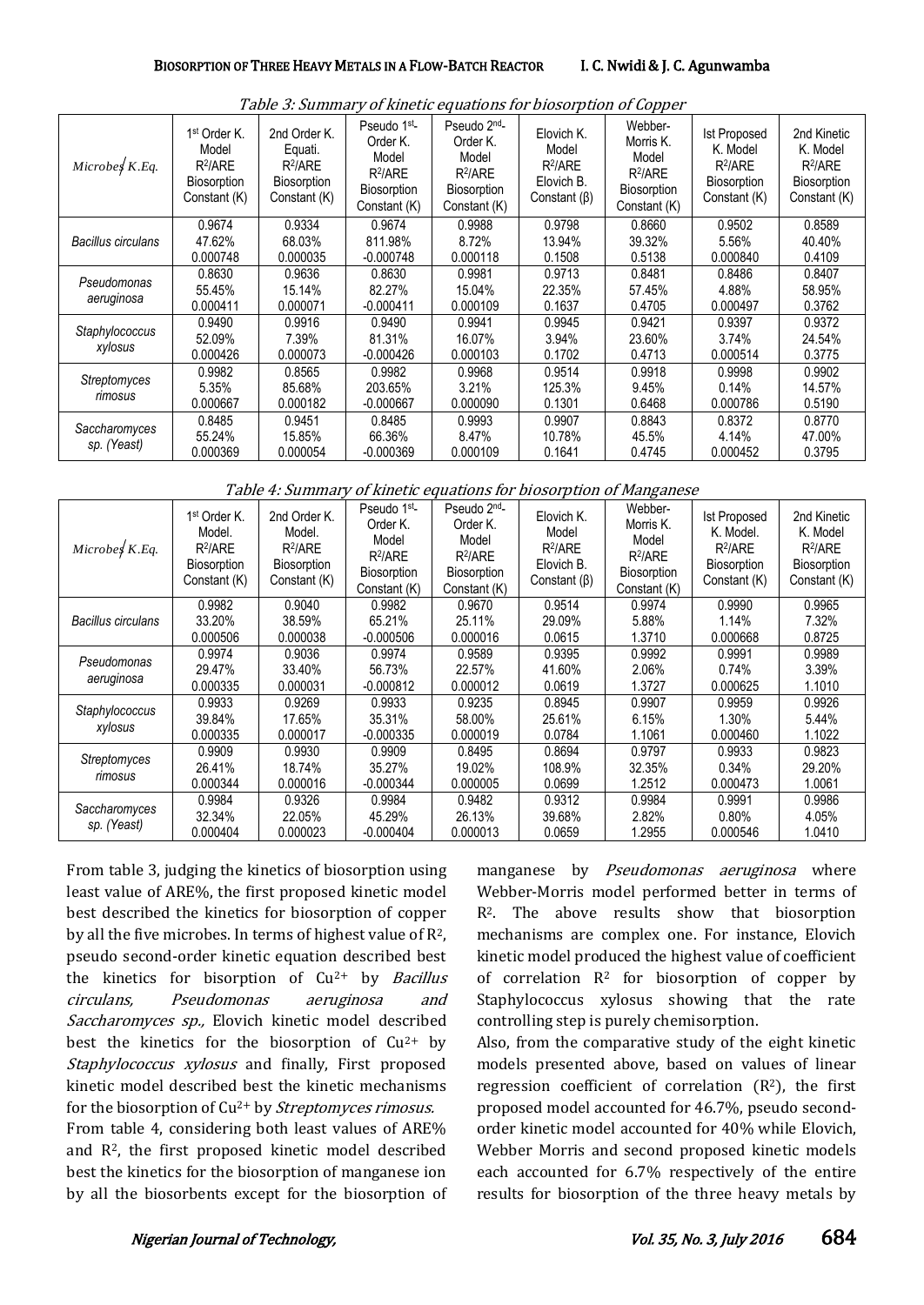| Microbes $K.Eq$ .            | 1 <sup>st</sup> Order K.<br>Model<br>$R^2/ARE$<br><b>Biosorption</b><br>Constant (K) | 2nd Order K.<br>Equati.<br>$R^2/ARE$<br><b>Biosorption</b><br>Constant (K) | Pseudo 1 <sup>st</sup> -<br>Order K.<br>Model<br>R <sup>2</sup> /ARE<br><b>Biosorption</b><br>Constant (K) | Pseudo 2 <sup>nd</sup> -<br>Order K.<br>Model<br>$R^2/ARE$<br>Biosorption<br>Constant (K) | Elovich K.<br>Model<br>$R^2/ARE$<br>Elovich B.<br>Constant $(\beta)$ | Webber-<br>Morris K.<br>Model<br>$R^2/ARE$<br>Biosorption<br>Constant (K) | <b>Ist Proposed</b><br>K. Model<br>$R^2/ARE$<br><b>Biosorption</b><br>Constant (K) | 2nd Kinetic<br>K. Model<br>$R^2/ARE$<br><b>Biosorption</b><br>Constant (K) |
|------------------------------|--------------------------------------------------------------------------------------|----------------------------------------------------------------------------|------------------------------------------------------------------------------------------------------------|-------------------------------------------------------------------------------------------|----------------------------------------------------------------------|---------------------------------------------------------------------------|------------------------------------------------------------------------------------|----------------------------------------------------------------------------|
|                              | 0.9674                                                                               | 0.9334                                                                     | 0.9674                                                                                                     | 0.9988                                                                                    | 0.9798                                                               | 0.8660                                                                    | 0.9502                                                                             | 0.8589                                                                     |
| Bacillus circulans           | 47.62%                                                                               | 68.03%                                                                     | 811.98%                                                                                                    | 8.72%                                                                                     | 13.94%                                                               | 39.32%                                                                    | 5.56%                                                                              | 40.40%                                                                     |
|                              | 0.000748                                                                             | 0.000035                                                                   | $-0.000748$                                                                                                | 0.000118                                                                                  | 0.1508                                                               | 0.5138                                                                    | 0.000840                                                                           | 0.4109                                                                     |
| Pseudomonas                  | 0.8630                                                                               | 0.9636                                                                     | 0.8630                                                                                                     | 0.9981                                                                                    | 0.9713                                                               | 0.8481                                                                    | 0.8486                                                                             | 0.8407                                                                     |
|                              | 55.45%                                                                               | 15.14%                                                                     | 82.27%                                                                                                     | 15.04%                                                                                    | 22.35%                                                               | 57.45%                                                                    | 4.88%                                                                              | 58.95%                                                                     |
| aeruginosa                   | 0.000411                                                                             | 0.000071                                                                   | $-0.000411$                                                                                                | 0.000109                                                                                  | 0.1637                                                               | 0.4705                                                                    | 0.000497                                                                           | 0.3762                                                                     |
|                              | 0.9490                                                                               | 0.9916                                                                     | 0.9490                                                                                                     | 0.9941                                                                                    | 0.9945                                                               | 0.9421                                                                    | 0.9397                                                                             | 0.9372                                                                     |
| Staphylococcus               | 52.09%                                                                               | 7.39%                                                                      | 81.31%                                                                                                     | 16.07%                                                                                    | 3.94%                                                                | 23.60%                                                                    | 3.74%                                                                              | 24.54%                                                                     |
| xylosus                      | 0.000426                                                                             | 0.000073                                                                   | $-0.000426$                                                                                                | 0.000103                                                                                  | 0.1702                                                               | 0.4713                                                                    | 0.000514                                                                           | 0.3775                                                                     |
|                              | 0.9982                                                                               | 0.8565                                                                     | 0.9982                                                                                                     | 0.9968                                                                                    | 0.9514                                                               | 0.9918                                                                    | 0.9998                                                                             | 0.9902                                                                     |
| Streptomyces<br>rimosus      | 5.35%                                                                                | 85.68%                                                                     | 203.65%                                                                                                    | 3.21%                                                                                     | 125.3%                                                               | 9.45%                                                                     | 0.14%                                                                              | 14.57%                                                                     |
|                              | 0.000667                                                                             | 0.000182                                                                   | $-0.000667$                                                                                                | 0.000090                                                                                  | 0.1301                                                               | 0.6468                                                                    | 0.000786                                                                           | 0.5190                                                                     |
|                              | 0.8485                                                                               | 0.9451                                                                     | 0.8485                                                                                                     | 0.9993                                                                                    | 0.9907                                                               | 0.8843                                                                    | 0.8372                                                                             | 0.8770                                                                     |
| Saccharomyces<br>sp. (Yeast) | 55.24%                                                                               | 15.85%                                                                     | 66.36%                                                                                                     | 8.47%                                                                                     | 10.78%                                                               | 45.5%                                                                     | 4.14%                                                                              | 47.00%                                                                     |
|                              | 0.000369                                                                             | 0.000054                                                                   | $-0.000369$                                                                                                | 0.000109                                                                                  | 0.1641                                                               | 0.4745                                                                    | 0.000452                                                                           | 0.3795                                                                     |

Table 3: Summary of kinetic equations for biosorption of Copper

Table 4: Summary of kinetic equations for biosorption of Manganese

| $Microbe$ K.Eq.    | 1 <sup>st</sup> Order K.<br>Model.<br>$R^2/ARE$<br>Biosorption<br>Constant (K) | 2nd Order K.<br>Model.<br>$R^2/ARE$<br><b>Biosorption</b><br>Constant (K) | Pseudo 1 <sup>st</sup><br>Order K.<br>Model<br>$R^2/ARE$<br><b>Biosorption</b><br>Constant (K) | Pseudo 2 <sup>nd</sup> -<br>Order K.<br>Model<br>$R^2/ARE$<br>Biosorption<br>Constant (K) | Elovich K.<br>Model<br>$R^2/ARE$<br>Elovich B.<br>Constant $(\beta)$ | Webber-<br>Morris K.<br>Model<br>$R^2/ARE$<br>Biosorption<br>Constant (K) | <b>Ist Proposed</b><br>K. Model.<br>$R^2/ARE$<br><b>Biosorption</b><br>Constant (K) | 2nd Kinetic<br>K. Model<br>$R^2/ARE$<br><b>Biosorption</b><br>Constant (K) |
|--------------------|--------------------------------------------------------------------------------|---------------------------------------------------------------------------|------------------------------------------------------------------------------------------------|-------------------------------------------------------------------------------------------|----------------------------------------------------------------------|---------------------------------------------------------------------------|-------------------------------------------------------------------------------------|----------------------------------------------------------------------------|
|                    | 0.9982                                                                         | 0.9040                                                                    | 0.9982                                                                                         | 0.9670                                                                                    | 0.9514                                                               | 0.9974                                                                    | 0.9990                                                                              | 0.9965                                                                     |
| Bacillus circulans | 33.20%                                                                         | 38.59%                                                                    | 65.21%                                                                                         | 25.11%                                                                                    | 29.09%                                                               | 5.88%                                                                     | 1.14%                                                                               | 7.32%                                                                      |
|                    | 0.000506                                                                       | 0.000038                                                                  | $-0.000506$                                                                                    | 0.000016                                                                                  | 0.0615                                                               | 1.3710                                                                    | 0.000668                                                                            | 0.8725                                                                     |
|                    | 0.9974                                                                         | 0.9036                                                                    | 0.9974                                                                                         | 0.9589                                                                                    | 0.9395                                                               | 0.9992                                                                    | 0.9991                                                                              | 0.9989                                                                     |
| Pseudomonas        | 29.47%                                                                         | 33.40%                                                                    | 56.73%                                                                                         | 22.57%                                                                                    | 41.60%                                                               | 2.06%                                                                     | $0.74\%$                                                                            | 3.39%                                                                      |
| aeruginosa         | 0.000335                                                                       | 0.000031                                                                  | $-0.000812$                                                                                    | 0.000012                                                                                  | 0.0619                                                               | 1.3727                                                                    | 0.000625                                                                            | 1.1010                                                                     |
|                    | 0.9933                                                                         | 0.9269                                                                    | 0.9933                                                                                         | 0.9235                                                                                    | 0.8945                                                               | 0.9907                                                                    | 0.9959                                                                              | 0.9926                                                                     |
| Staphylococcus     | 39.84%                                                                         | 17.65%                                                                    | 35.31%                                                                                         | 58.00%                                                                                    | 25.61%                                                               | 6.15%                                                                     | 1.30%                                                                               | 5.44%                                                                      |
| xylosus            | 0.000335                                                                       | 0.000017                                                                  | $-0.000335$                                                                                    | 0.000019                                                                                  | 0.0784                                                               | 1.1061                                                                    | 0.000460                                                                            | 1.1022                                                                     |
| Streptomyces       | 0.9909                                                                         | 0.9930                                                                    | 0.9909                                                                                         | 0.8495                                                                                    | 0.8694                                                               | 0.9797                                                                    | 0.9933                                                                              | 0.9823                                                                     |
|                    | 26.41%                                                                         | 18.74%                                                                    | 35.27%                                                                                         | 19.02%                                                                                    | 108.9%                                                               | 32.35%                                                                    | 0.34%                                                                               | 29.20%                                                                     |
| rimosus            | 0.000344                                                                       | 0.000016                                                                  | $-0.000344$                                                                                    | 0.000005                                                                                  | 0.0699                                                               | 1.2512                                                                    | 0.000473                                                                            | 1.0061                                                                     |
|                    | 0.9984                                                                         | 0.9326                                                                    | 0.9984                                                                                         | 0.9482                                                                                    | 0.9312                                                               | 0.9984                                                                    | 0.9991                                                                              | 0.9986                                                                     |
| Saccharomyces      | 32.34%                                                                         | 22.05%                                                                    | 45.29%                                                                                         | 26.13%                                                                                    | 39.68%                                                               | 2.82%                                                                     | 0.80%                                                                               | 4.05%                                                                      |
| sp. (Yeast)        | 0.000404                                                                       | 0.000023                                                                  | $-0.000404$                                                                                    | 0.000013                                                                                  | 0.0659                                                               | l.2955                                                                    | 0.000546                                                                            | 1.0410                                                                     |

From table 3, judging the kinetics of biosorption using least value of ARE%, the first proposed kinetic model best described the kinetics for biosorption of copper by all the five microbes. In terms of highest value of R2, pseudo second-order kinetic equation described best the kinetics for bisorption of  $Cu^{2+}$  by *Bacillus* circulans, Pseudomonas aeruginosa and Saccharomyces sp., Elovich kinetic model described best the kinetics for the biosorption of  $Cu^{2+}$  by Staphylococcus xylosus and finally, First proposed kinetic model described best the kinetic mechanisms for the biosorption of Cu<sup>2+</sup> by *Streptomyces rimosus*. From table 4, considering both least values of ARE% and R2, the first proposed kinetic model described

best the kinetics for the biosorption of manganese ion by all the biosorbents except for the biosorption of manganese by *Pseudomonas aeruginosa* where Webber-Morris model performed better in terms of R<sup>2</sup>. The above results show that biosorption mechanisms are complex one. For instance, Elovich kinetic model produced the highest value of coefficient of correlation  $R^2$  for biosorption of copper by Staphylococcus xylosus showing that the rate controlling step is purely chemisorption.

Also, from the comparative study of the eight kinetic models presented above, based on values of linear regression coefficient of correlation  $(R<sup>2</sup>)$ , the first proposed model accounted for 46.7%, pseudo secondorder kinetic model accounted for 40% while Elovich, Webber Morris and second proposed kinetic models each accounted for 6.7% respectively of the entire results for biosorption of the three heavy metals by